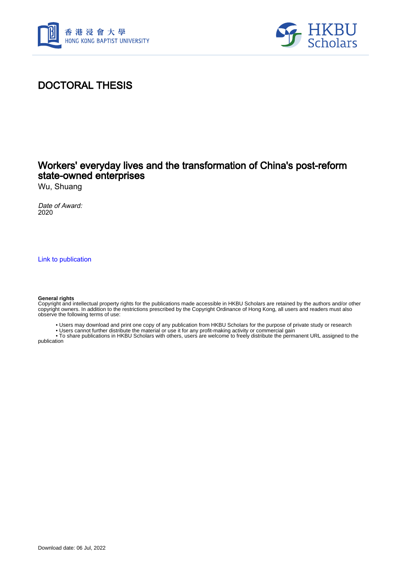



# DOCTORAL THESIS

## Workers' everyday lives and the transformation of China's post-reform state-owned enterprises

Wu, Shuang

Date of Award: 2020

[Link to publication](https://scholars.hkbu.edu.hk/en/studentTheses/c4da04fb-cfbd-4707-a924-6e3ffd77615d)

#### **General rights**

Copyright and intellectual property rights for the publications made accessible in HKBU Scholars are retained by the authors and/or other copyright owners. In addition to the restrictions prescribed by the Copyright Ordinance of Hong Kong, all users and readers must also observe the following terms of use:

- Users may download and print one copy of any publication from HKBU Scholars for the purpose of private study or research
- Users cannot further distribute the material or use it for any profit-making activity or commercial gain

 • To share publications in HKBU Scholars with others, users are welcome to freely distribute the permanent URL assigned to the publication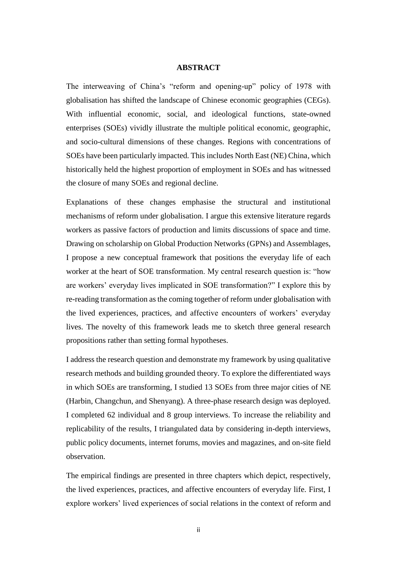### **ABSTRACT**

<span id="page-1-0"></span>The interweaving of China's "reform and opening-up" policy of 1978 with globalisation has shifted the landscape of Chinese economic geographies (CEGs). With influential economic, social, and ideological functions, state-owned enterprises (SOEs) vividly illustrate the multiple political economic, geographic, and socio-cultural dimensions of these changes. Regions with concentrations of SOEs have been particularly impacted. This includes North East (NE) China, which historically held the highest proportion of employment in SOEs and has witnessed the closure of many SOEs and regional decline.

Explanations of these changes emphasise the structural and institutional mechanisms of reform under globalisation. I argue this extensive literature regards workers as passive factors of production and limits discussions of space and time. Drawing on scholarship on Global Production Networks (GPNs) and Assemblages, I propose a new conceptual framework that positions the everyday life of each worker at the heart of SOE transformation. My central research question is: "how are workers' everyday lives implicated in SOE transformation?" I explore this by re-reading transformation as the coming together of reform under globalisation with the lived experiences, practices, and affective encounters of workers' everyday lives. The novelty of this framework leads me to sketch three general research propositions rather than setting formal hypotheses.

I address the research question and demonstrate my framework by using qualitative research methods and building grounded theory. To explore the differentiated ways in which SOEs are transforming, I studied 13 SOEs from three major cities of NE (Harbin, Changchun, and Shenyang). A three-phase research design was deployed. I completed 62 individual and 8 group interviews. To increase the reliability and replicability of the results, I triangulated data by considering in-depth interviews, public policy documents, internet forums, movies and magazines, and on-site field observation.

The empirical findings are presented in three chapters which depict, respectively, the lived experiences, practices, and affective encounters of everyday life. First, I explore workers' lived experiences of social relations in the context of reform and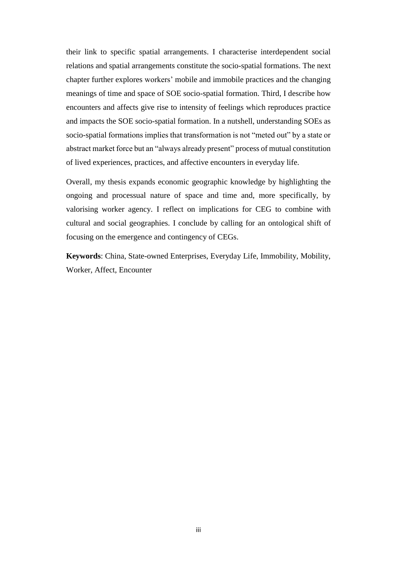their link to specific spatial arrangements. I characterise interdependent social relations and spatial arrangements constitute the socio-spatial formations. The next chapter further explores workers' mobile and immobile practices and the changing meanings of time and space of SOE socio-spatial formation. Third, I describe how encounters and affects give rise to intensity of feelings which reproduces practice and impacts the SOE socio-spatial formation. In a nutshell, understanding SOEs as socio-spatial formations implies that transformation is not "meted out" by a state or abstract market force but an "always already present" process of mutual constitution of lived experiences, practices, and affective encounters in everyday life.

Overall, my thesis expands economic geographic knowledge by highlighting the ongoing and processual nature of space and time and, more specifically, by valorising worker agency. I reflect on implications for CEG to combine with cultural and social geographies. I conclude by calling for an ontological shift of focusing on the emergence and contingency of CEGs.

**Keywords**: China, State-owned Enterprises, Everyday Life, Immobility, Mobility, Worker, Affect, Encounter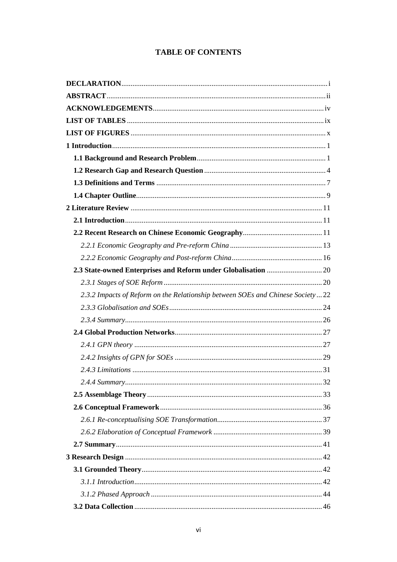### **TABLE OF CONTENTS**

| 2.3.2 Impacts of Reform on the Relationship between SOEs and Chinese Society22 |  |
|--------------------------------------------------------------------------------|--|
|                                                                                |  |
|                                                                                |  |
|                                                                                |  |
|                                                                                |  |
|                                                                                |  |
|                                                                                |  |
|                                                                                |  |
|                                                                                |  |
|                                                                                |  |
|                                                                                |  |
|                                                                                |  |
|                                                                                |  |
|                                                                                |  |
|                                                                                |  |
|                                                                                |  |
|                                                                                |  |
|                                                                                |  |